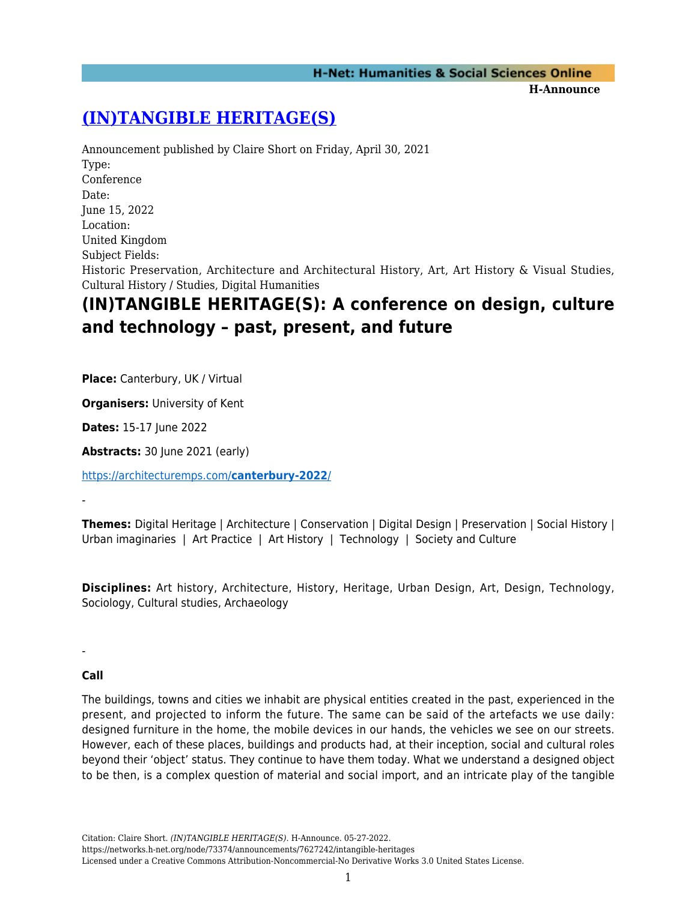## **[\(IN\)TANGIBLE HERITAGE\(S\)](https://networks.h-net.org/node/73374/announcements/7627242/intangible-heritages)**

Announcement published by Claire Short on Friday, April 30, 2021 Type: Conference Date: June 15, 2022 Location: United Kingdom Subject Fields: Historic Preservation, Architecture and Architectural History, Art, Art History & Visual Studies, Cultural History / Studies, Digital Humanities

# **(IN)TANGIBLE HERITAGE(S): A conference on design, culture and technology – past, present, and future**

**Place:** Canterbury, UK / Virtual

**Organisers:** University of Kent

**Dates:** 15-17 June 2022

**Abstracts:** 30 June 2021 (early)

[https://architecturemps.com/](https://architecturemps.com/canterbury-2022/)**[canterbury-2022](https://architecturemps.com/canterbury-2022/)**[/](https://architecturemps.com/canterbury-2022/)

-

**Themes:** Digital Heritage | Architecture | Conservation | Digital Design | Preservation | Social History | Urban imaginaries | Art Practice | Art History | Technology | Society and Culture

**Disciplines:** Art history, Architecture, History, Heritage, Urban Design, Art, Design, Technology, Sociology, Cultural studies, Archaeology

-

### **Call**

The buildings, towns and cities we inhabit are physical entities created in the past, experienced in the present, and projected to inform the future. The same can be said of the artefacts we use daily: designed furniture in the home, the mobile devices in our hands, the vehicles we see on our streets. However, each of these places, buildings and products had, at their inception, social and cultural roles beyond their 'object' status. They continue to have them today. What we understand a designed object to be then, is a complex question of material and social import, and an intricate play of the tangible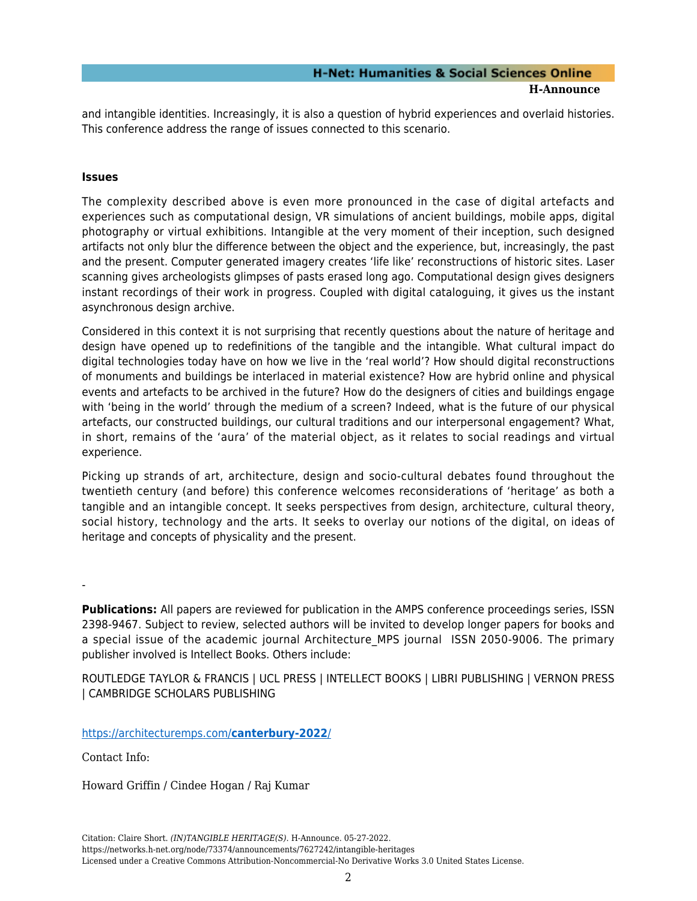### **H-Net: Humanities & Social Sciences Online H-Announce**

and intangible identities. Increasingly, it is also a question of hybrid experiences and overlaid histories. This conference address the range of issues connected to this scenario.

#### **Issues**

The complexity described above is even more pronounced in the case of digital artefacts and experiences such as computational design, VR simulations of ancient buildings, mobile apps, digital photography or virtual exhibitions. Intangible at the very moment of their inception, such designed artifacts not only blur the difference between the object and the experience, but, increasingly, the past and the present. Computer generated imagery creates 'life like' reconstructions of historic sites. Laser scanning gives archeologists glimpses of pasts erased long ago. Computational design gives designers instant recordings of their work in progress. Coupled with digital cataloguing, it gives us the instant asynchronous design archive.

Considered in this context it is not surprising that recently questions about the nature of heritage and design have opened up to redefinitions of the tangible and the intangible. What cultural impact do digital technologies today have on how we live in the 'real world'? How should digital reconstructions of monuments and buildings be interlaced in material existence? How are hybrid online and physical events and artefacts to be archived in the future? How do the designers of cities and buildings engage with 'being in the world' through the medium of a screen? Indeed, what is the future of our physical artefacts, our constructed buildings, our cultural traditions and our interpersonal engagement? What, in short, remains of the 'aura' of the material object, as it relates to social readings and virtual experience.

Picking up strands of art, architecture, design and socio-cultural debates found throughout the twentieth century (and before) this conference welcomes reconsiderations of 'heritage' as both a tangible and an intangible concept. It seeks perspectives from design, architecture, cultural theory, social history, technology and the arts. It seeks to overlay our notions of the digital, on ideas of heritage and concepts of physicality and the present.

-

**Publications:** All papers are reviewed for publication in the AMPS conference proceedings series, ISSN 2398-9467. Subject to review, selected authors will be invited to develop longer papers for books and a special issue of the academic journal Architecture MPS journal ISSN 2050-9006. The primary publisher involved is Intellect Books. Others include:

ROUTLEDGE TAYLOR & FRANCIS | UCL PRESS | INTELLECT BOOKS | LIBRI PUBLISHING | VERNON PRESS | CAMBRIDGE SCHOLARS PUBLISHING

[https://architecturemps.com/](https://architecturemps.com/canterbury-2022/)**[canterbury-2022](https://architecturemps.com/canterbury-2022/)**[/](https://architecturemps.com/canterbury-2022/)

Contact Info:

Howard Griffin / Cindee Hogan / Raj Kumar

Citation: Claire Short. *(IN)TANGIBLE HERITAGE(S)*. H-Announce. 05-27-2022. https://networks.h-net.org/node/73374/announcements/7627242/intangible-heritages Licensed under a Creative Commons Attribution-Noncommercial-No Derivative Works 3.0 United States License.